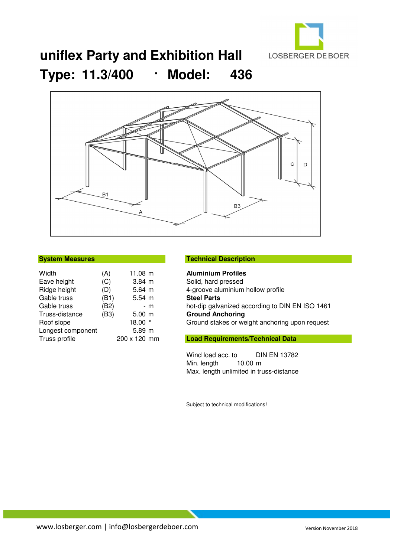

## **uniflex Party and Exhibition Hall Type: 11.3/400** · **Model: 436**



| <b>System Measures</b> |  |
|------------------------|--|
|------------------------|--|

| Width             | (A)  | 11.08 m      |     |
|-------------------|------|--------------|-----|
| Eave height       | (C)  | $3.84 \; m$  |     |
| Ridge height      | (D)  | $5.64 \; m$  |     |
| Gable truss       | (B1) | $5.54 \; m$  |     |
| Gable truss       | (B2) |              | - m |
| Truss-distance    | (B3) | $5.00$ m     |     |
| Roof slope        |      | 18.00        |     |
| Longest component |      | $5.89$ m     |     |
| Truss profile     |      | 200 x 120 mm |     |

### **Technical Description**

**Aluminium Profiles** Solid, hard pressed 4-groove aluminium hollow profile **Steel Parts** hot-dip galvanized according to DIN EN ISO 1461 **Ground Anchoring** Ground stakes or weight anchoring upon request

### **Load Requirements/Technical Data**

Wind load acc. to DIN EN 13782<br>Min. length 10.00 m Min. length Max. length unlimited in truss-distance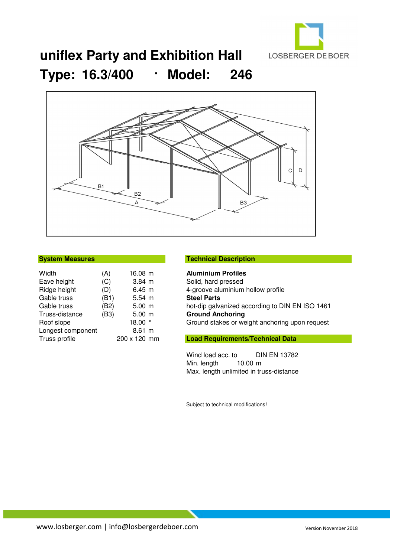

# **uniflex Party and Exhibition Hall Type: 16.3/400** · **Model: 246**



| Width             | (A)  | 16.08 m      |  |
|-------------------|------|--------------|--|
| Eave height       | (C)  | $3.84 \; m$  |  |
| Ridge height      | (D)  | 6.45 m       |  |
| Gable truss       | (B1) | $5.54 \; m$  |  |
| Gable truss       | (B2) | $5.00 \; m$  |  |
| Truss-distance    | (B3) | $5.00$ m     |  |
| Roof slope        |      | 18.00        |  |
| Longest component |      | $8.61$ m     |  |
| Truss profile     |      | 200 x 120 mm |  |
|                   |      |              |  |

### **Technical Description**

**Aluminium Profiles** Solid, hard pressed 4-groove aluminium hollow profile **Steel Parts** hot-dip galvanized according to DIN EN ISO 1461 **Ground Anchoring** Ground stakes or weight anchoring upon request

## **Load Requirements/Technical Data**

Wind load acc. to DIN EN 13782<br>Min. length 10.00 m Min. length Max. length unlimited in truss-distance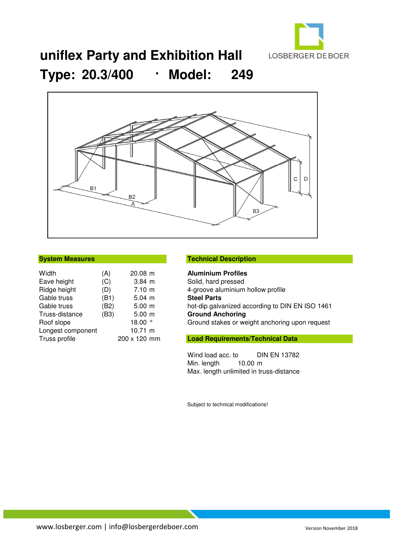

# **uniflex Party and Exhibition Hall Type: 20.3/400** · **Model: 249**



| Width             | (A)  | 20.08 m      |  |
|-------------------|------|--------------|--|
| Eave height       | (C)  | $3.84 \; m$  |  |
| Ridge height      | (D)  | $7.10 \; m$  |  |
| Gable truss       | (B1) | $5.04 \; m$  |  |
| Gable truss       | (B2) | $5.00 \; m$  |  |
| Truss-distance    | (B3) | $5.00 \; m$  |  |
| Roof slope        |      | 18.00        |  |
| Longest component |      | 10.71 m      |  |
| Truss profile     |      | 200 x 120 mm |  |
|                   |      |              |  |

### **System Measures Technical Description**

**Aluminium Profiles** Solid, hard pressed 4-groove aluminium hollow profile **Steel Parts** hot-dip galvanized according to DIN EN ISO 1461 **Ground Anchoring** Ground stakes or weight anchoring upon request

### **Load Requirements/Technical Data**

Wind load acc. to DIN EN 13782<br>Min. length 10.00 m Min. length Max. length unlimited in truss-distance